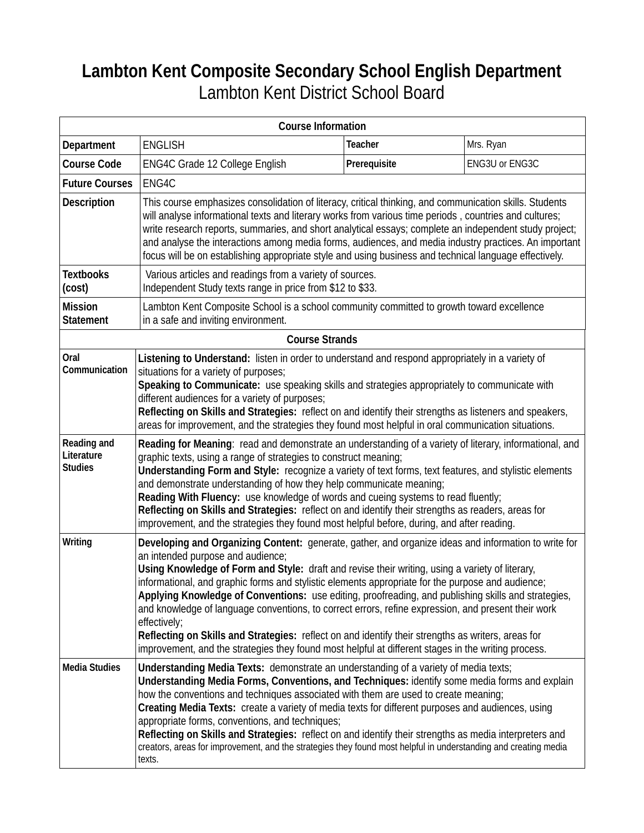## **Lambton Kent Composite Secondary School English Department**  Lambton Kent District School Board

| <b>Course Information</b>                   |                                                                                                                                                                                                                                                                                                                                                                                                                                                                                                                                                                                                                                                                                                                                                                                              |              |                |
|---------------------------------------------|----------------------------------------------------------------------------------------------------------------------------------------------------------------------------------------------------------------------------------------------------------------------------------------------------------------------------------------------------------------------------------------------------------------------------------------------------------------------------------------------------------------------------------------------------------------------------------------------------------------------------------------------------------------------------------------------------------------------------------------------------------------------------------------------|--------------|----------------|
| Department                                  | <b>ENGLISH</b>                                                                                                                                                                                                                                                                                                                                                                                                                                                                                                                                                                                                                                                                                                                                                                               | Teacher      | Mrs. Ryan      |
| <b>Course Code</b>                          | ENG4C Grade 12 College English                                                                                                                                                                                                                                                                                                                                                                                                                                                                                                                                                                                                                                                                                                                                                               | Prerequisite | ENG3U or ENG3C |
| <b>Future Courses</b>                       | ENG4C                                                                                                                                                                                                                                                                                                                                                                                                                                                                                                                                                                                                                                                                                                                                                                                        |              |                |
| <b>Description</b>                          | This course emphasizes consolidation of literacy, critical thinking, and communication skills. Students<br>will analyse informational texts and literary works from various time periods, countries and cultures;<br>write research reports, summaries, and short analytical essays; complete an independent study project;<br>and analyse the interactions among media forms, audiences, and media industry practices. An important<br>focus will be on establishing appropriate style and using business and technical language effectively.                                                                                                                                                                                                                                               |              |                |
| <b>Textbooks</b><br>(cost)                  | Various articles and readings from a variety of sources.<br>Independent Study texts range in price from \$12 to \$33.                                                                                                                                                                                                                                                                                                                                                                                                                                                                                                                                                                                                                                                                        |              |                |
| <b>Mission</b><br><b>Statement</b>          | Lambton Kent Composite School is a school community committed to growth toward excellence<br>in a safe and inviting environment.                                                                                                                                                                                                                                                                                                                                                                                                                                                                                                                                                                                                                                                             |              |                |
| <b>Course Strands</b>                       |                                                                                                                                                                                                                                                                                                                                                                                                                                                                                                                                                                                                                                                                                                                                                                                              |              |                |
| Oral<br>Communication                       | Listening to Understand: listen in order to understand and respond appropriately in a variety of<br>situations for a variety of purposes;<br>Speaking to Communicate: use speaking skills and strategies appropriately to communicate with<br>different audiences for a variety of purposes;<br>Reflecting on Skills and Strategies: reflect on and identify their strengths as listeners and speakers,<br>areas for improvement, and the strategies they found most helpful in oral communication situations.                                                                                                                                                                                                                                                                               |              |                |
| Reading and<br>Literature<br><b>Studies</b> | Reading for Meaning: read and demonstrate an understanding of a variety of literary, informational, and<br>graphic texts, using a range of strategies to construct meaning;<br>Understanding Form and Style: recognize a variety of text forms, text features, and stylistic elements<br>and demonstrate understanding of how they help communicate meaning;<br>Reading With Fluency: use knowledge of words and cueing systems to read fluently;<br>Reflecting on Skills and Strategies: reflect on and identify their strengths as readers, areas for<br>improvement, and the strategies they found most helpful before, during, and after reading.                                                                                                                                        |              |                |
| Writing                                     | Developing and Organizing Content: generate, gather, and organize ideas and information to write for<br>an intended purpose and audience;<br>Using Knowledge of Form and Style: draft and revise their writing, using a variety of literary,<br>informational, and graphic forms and stylistic elements appropriate for the purpose and audience;<br>Applying Knowledge of Conventions: use editing, proofreading, and publishing skills and strategies,<br>and knowledge of language conventions, to correct errors, refine expression, and present their work<br>effectively;<br>Reflecting on Skills and Strategies: reflect on and identify their strengths as writers, areas for<br>improvement, and the strategies they found most helpful at different stages in the writing process. |              |                |
| <b>Media Studies</b>                        | Understanding Media Texts: demonstrate an understanding of a variety of media texts;<br>Understanding Media Forms, Conventions, and Techniques: identify some media forms and explain<br>how the conventions and techniques associated with them are used to create meaning;<br>Creating Media Texts: create a variety of media texts for different purposes and audiences, using<br>appropriate forms, conventions, and techniques;<br>Reflecting on Skills and Strategies: reflect on and identify their strengths as media interpreters and<br>creators, areas for improvement, and the strategies they found most helpful in understanding and creating media<br>texts.                                                                                                                  |              |                |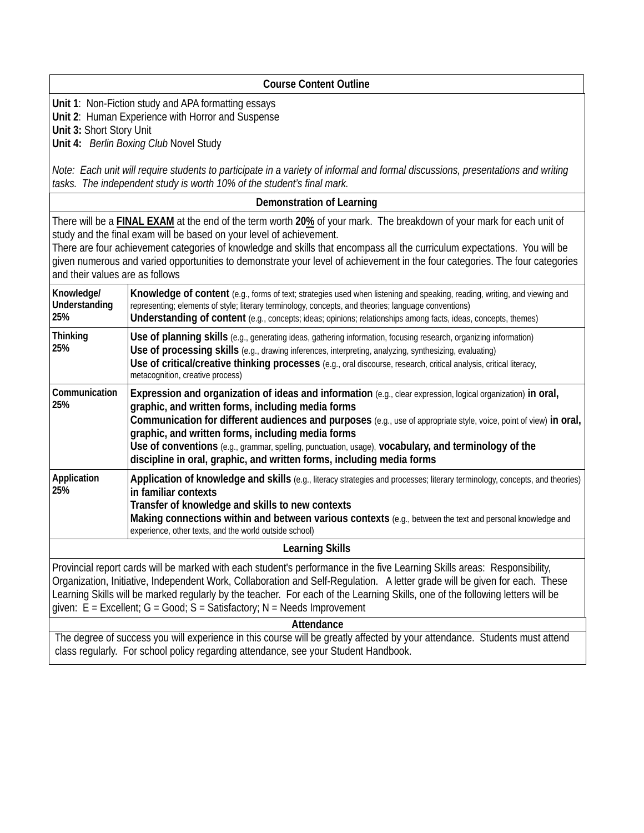| <b>Course Content Outline</b>                                                                                                                                                                                                                                                                                                                                                                                                                                                                        |                                                                                                                                                                                                                                                                                                                                                                                                                                                                                                                               |  |  |
|------------------------------------------------------------------------------------------------------------------------------------------------------------------------------------------------------------------------------------------------------------------------------------------------------------------------------------------------------------------------------------------------------------------------------------------------------------------------------------------------------|-------------------------------------------------------------------------------------------------------------------------------------------------------------------------------------------------------------------------------------------------------------------------------------------------------------------------------------------------------------------------------------------------------------------------------------------------------------------------------------------------------------------------------|--|--|
| Unit 1: Non-Fiction study and APA formatting essays<br>Unit 2: Human Experience with Horror and Suspense<br>Unit 3: Short Story Unit<br>Unit 4: Berlin Boxing Club Novel Study                                                                                                                                                                                                                                                                                                                       |                                                                                                                                                                                                                                                                                                                                                                                                                                                                                                                               |  |  |
| Note: Each unit will require students to participate in a variety of informal and formal discussions, presentations and writing<br>tasks. The independent study is worth 10% of the student's final mark.                                                                                                                                                                                                                                                                                            |                                                                                                                                                                                                                                                                                                                                                                                                                                                                                                                               |  |  |
| Demonstration of Learning                                                                                                                                                                                                                                                                                                                                                                                                                                                                            |                                                                                                                                                                                                                                                                                                                                                                                                                                                                                                                               |  |  |
| There will be a <b>FINAL EXAM</b> at the end of the term worth 20% of your mark. The breakdown of your mark for each unit of<br>study and the final exam will be based on your level of achievement.<br>There are four achievement categories of knowledge and skills that encompass all the curriculum expectations. You will be<br>given numerous and varied opportunities to demonstrate your level of achievement in the four categories. The four categories<br>and their values are as follows |                                                                                                                                                                                                                                                                                                                                                                                                                                                                                                                               |  |  |
| Knowledge/<br>Understanding<br>25%                                                                                                                                                                                                                                                                                                                                                                                                                                                                   | Knowledge of content (e.g., forms of text; strategies used when listening and speaking, reading, writing, and viewing and<br>representing; elements of style; literary terminology, concepts, and theories; language conventions)<br>Understanding of content (e.g., concepts; ideas; opinions; relationships among facts, ideas, concepts, themes)                                                                                                                                                                           |  |  |
| <b>Thinking</b><br>25%                                                                                                                                                                                                                                                                                                                                                                                                                                                                               | Use of planning skills (e.g., generating ideas, gathering information, focusing research, organizing information)<br>Use of processing skills (e.g., drawing inferences, interpreting, analyzing, synthesizing, evaluating)<br>Use of critical/creative thinking processes (e.g., oral discourse, research, critical analysis, critical literacy,<br>metacognition, creative process)                                                                                                                                         |  |  |
| Communication<br>25%                                                                                                                                                                                                                                                                                                                                                                                                                                                                                 | Expression and organization of ideas and information (e.g., clear expression, logical organization) in oral,<br>graphic, and written forms, including media forms<br>Communication for different audiences and purposes (e.g., use of appropriate style, voice, point of view) in oral,<br>graphic, and written forms, including media forms<br>Use of conventions (e.g., grammar, spelling, punctuation, usage), vocabulary, and terminology of the<br>discipline in oral, graphic, and written forms, including media forms |  |  |
| Application<br>25%                                                                                                                                                                                                                                                                                                                                                                                                                                                                                   | Application of knowledge and skills (e.g., literacy strategies and processes; literary terminology, concepts, and theories)<br>in familiar contexts<br>Transfer of knowledge and skills to new contexts<br>Making connections within and between various contexts (e.g., between the text and personal knowledge and<br>experience, other texts, and the world outside school)                                                                                                                                                |  |  |
| <b>Learning Skills</b>                                                                                                                                                                                                                                                                                                                                                                                                                                                                               |                                                                                                                                                                                                                                                                                                                                                                                                                                                                                                                               |  |  |
| Provincial report cards will be marked with each student's performance in the five Learning Skills areas: Responsibility,<br>Organization, Initiative, Independent Work, Collaboration and Self-Regulation. A letter grade will be given for each. These<br>Learning Skills will be marked regularly by the teacher. For each of the Learning Skills, one of the following letters will be<br>given: $E = Excellent$ ; $G = Good$ ; $S = Satisfactory$ ; N = Needs Improvement                       |                                                                                                                                                                                                                                                                                                                                                                                                                                                                                                                               |  |  |
| Attendance                                                                                                                                                                                                                                                                                                                                                                                                                                                                                           |                                                                                                                                                                                                                                                                                                                                                                                                                                                                                                                               |  |  |
| The degree of success you will experience in this course will be greatly affected by your attendance. Students must attend<br>class regularly. For school policy regarding attendance, see your Student Handbook.                                                                                                                                                                                                                                                                                    |                                                                                                                                                                                                                                                                                                                                                                                                                                                                                                                               |  |  |